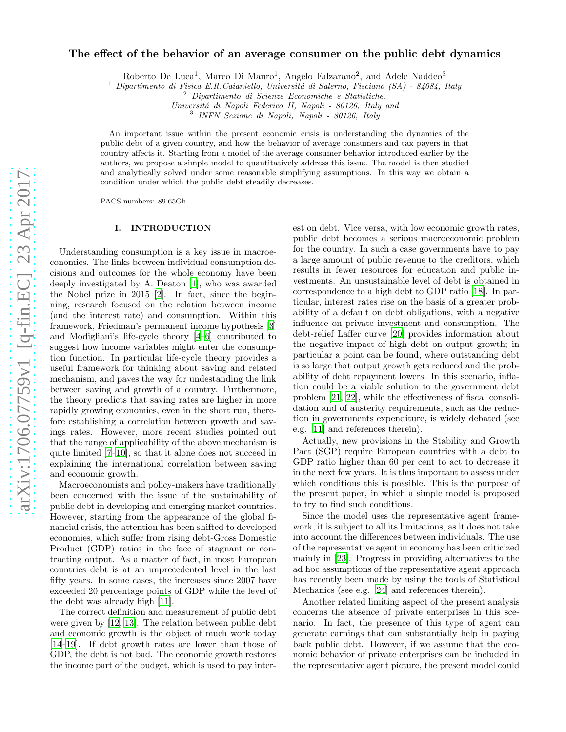# The effect of the behavior of an average consumer on the public debt dynamics

Roberto De Luca<sup>1</sup>, Marco Di Mauro<sup>1</sup>, Angelo Falzarano<sup>2</sup>, and Adele Naddeo<sup>3</sup>

<sup>1</sup> Dipartimento di Fisica E.R.Caianiello, Università di Salerno, Fisciano (SA) - 84084, Italy

<sup>2</sup> Dipartimento di Scienze Economiche e Statistiche,

Universitá di Napoli Federico II, Napoli - 80126, Italy and

3 INFN Sezione di Napoli, Napoli - 80126, Italy

An important issue within the present economic crisis is understanding the dynamics of the public debt of a given country, and how the behavior of average consumers and tax payers in that country affects it. Starting from a model of the average consumer behavior introduced earlier by the authors, we propose a simple model to quantitatively address this issue. The model is then studied and analytically solved under some reasonable simplifying assumptions. In this way we obtain a condition under which the public debt steadily decreases.

PACS numbers: 89.65Gh

### I. INTRODUCTION

Understanding consumption is a key issue in macroeconomics. The links between individual consumption decisions and outcomes for the whole economy have been deeply investigated by A. Deaton [\[1\]](#page-3-0), who was awarded the Nobel prize in 2015 [\[2\]](#page-3-1). In fact, since the beginning, research focused on the relation between income (and the interest rate) and consumption. Within this framework, Friedman's permanent income hypothesis [\[3](#page-3-2)] and Modigliani's life-cycle theory [\[4](#page-3-3)[–6](#page-3-4)] contributed to suggest how income variables might enter the consumption function. In particular life-cycle theory provides a useful framework for thinking about saving and related mechanism, and paves the way for undestanding the link between saving and growth of a country. Furthermore, the theory predicts that saving rates are higher in more rapidly growing economies, even in the short run, therefore establishing a correlation between growth and savings rates. However, more recent studies pointed out that the range of applicability of the above mechanism is quite limited [\[7](#page-3-5)[–10\]](#page-3-6), so that it alone does not succeed in explaining the international correlation between saving and economic growth.

Macroeconomists and policy-makers have traditionally been concerned with the issue of the sustainability of public debt in developing and emerging market countries. However, starting from the appearance of the global financial crisis, the attention has been shifted to developed economies, which suffer from rising debt-Gross Domestic Product (GDP) ratios in the face of stagnant or contracting output. As a matter of fact, in most European countries debt is at an unprecedented level in the last fifty years. In some cases, the increases since 2007 have exceeded 20 percentage points of GDP while the level of the debt was already high [\[11\]](#page-3-7).

The correct definition and measurement of public debt were given by [\[12](#page-3-8), [13\]](#page-3-9). The relation between public debt and economic growth is the object of much work today [\[14](#page-3-10)[–19\]](#page-3-11). If debt growth rates are lower than those of GDP, the debt is not bad. The economic growth restores the income part of the budget, which is used to pay interest on debt. Vice versa, with low economic growth rates, public debt becomes a serious macroeconomic problem for the country. In such a case governments have to pay a large amount of public revenue to the creditors, which results in fewer resources for education and public investments. An unsustainable level of debt is obtained in correspondence to a high debt to GDP ratio [\[18\]](#page-3-12). In particular, interest rates rise on the basis of a greater probability of a default on debt obligations, with a negative influence on private investment and consumption. The debt-relief Laffer curve [\[20\]](#page-3-13) provides information about the negative impact of high debt on output growth; in particular a point can be found, where outstanding debt is so large that output growth gets reduced and the probability of debt repayment lowers. In this scenario, inflation could be a viable solution to the government debt problem [\[21,](#page-3-14) [22\]](#page-3-15), while the effectiveness of fiscal consolidation and of austerity requirements, such as the reduction in governments expenditure, is widely debated (see e.g. [\[11](#page-3-7)] and references therein).

Actually, new provisions in the Stability and Growth Pact (SGP) require European countries with a debt to GDP ratio higher than 60 per cent to act to decrease it in the next few years. It is thus important to assess under which conditions this is possible. This is the purpose of the present paper, in which a simple model is proposed to try to find such conditions.

Since the model uses the representative agent framework, it is subject to all its limitations, as it does not take into account the differences between individuals. The use of the representative agent in economy has been criticized mainly in [\[23\]](#page-3-16). Progress in providing alternatives to the ad hoc assumptions of the representative agent approach has recently been made by using the tools of Statistical Mechanics (see e.g. [\[24](#page-3-17)] and references therein).

Another related limiting aspect of the present analysis concerns the absence of private enterprises in this scenario. In fact, the presence of this type of agent can generate earnings that can substantially help in paying back public debt. However, if we assume that the economic behavior of private enterprises can be included in the representative agent picture, the present model could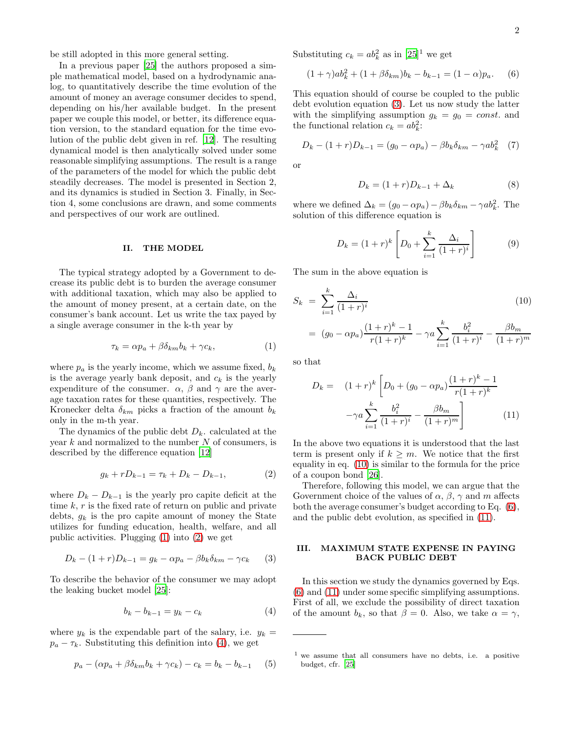be still adopted in this more general setting.

In a previous paper [\[25\]](#page-3-18) the authors proposed a simple mathematical model, based on a hydrodynamic analog, to quantitatively describe the time evolution of the amount of money an average consumer decides to spend, depending on his/her available budget. In the present paper we couple this model, or better, its difference equation version, to the standard equation for the time evolution of the public debt given in ref. [\[12](#page-3-8)]. The resulting dynamical model is then analytically solved under some reasonable simplifying assumptions. The result is a range of the parameters of the model for which the public debt steadily decreases. The model is presented in Section 2, and its dynamics is studied in Section 3. Finally, in Section 4, some conclusions are drawn, and some comments and perspectives of our work are outlined.

#### II. THE MODEL

The typical strategy adopted by a Government to decrease its public debt is to burden the average consumer with additional taxation, which may also be applied to the amount of money present, at a certain date, on the consumer's bank account. Let us write the tax payed by a single average consumer in the k-th year by

<span id="page-1-0"></span>
$$
\tau_k = \alpha p_a + \beta \delta_{km} b_k + \gamma c_k, \qquad (1)
$$

where  $p_a$  is the yearly income, which we assume fixed,  $b_k$ is the average yearly bank deposit, and  $c_k$  is the yearly expenditure of the consumer.  $\alpha$ ,  $\beta$  and  $\gamma$  are the average taxation rates for these quantities, respectively. The Kronecker delta  $\delta_{km}$  picks a fraction of the amount  $b_k$ only in the m-th year.

The dynamics of the public debt  $D_k$ . calculated at the year  $k$  and normalized to the number  $N$  of consumers, is described by the difference equation [\[12](#page-3-8)]

<span id="page-1-1"></span>
$$
g_k + rD_{k-1} = \tau_k + D_k - D_{k-1}, \tag{2}
$$

where  $D_k - D_{k-1}$  is the yearly pro capite deficit at the time  $k, r$  is the fixed rate of return on public and private debts,  $g_k$  is the pro capite amount of money the State utilizes for funding education, health, welfare, and all public activities. Plugging [\(1\)](#page-1-0) into [\(2\)](#page-1-1) we get

<span id="page-1-3"></span>
$$
D_k - (1+r)D_{k-1} = g_k - \alpha p_a - \beta b_k \delta_{km} - \gamma c_k \qquad (3)
$$

To describe the behavior of the consumer we may adopt the leaking bucket model [\[25\]](#page-3-18):

<span id="page-1-2"></span>
$$
b_k - b_{k-1} = y_k - c_k \tag{4}
$$

where  $y_k$  is the expendable part of the salary, i.e.  $y_k =$  $p_a - \tau_k$ . Substituting this definition into [\(4\)](#page-1-2), we get

$$
p_a - (\alpha p_a + \beta \delta_{km} b_k + \gamma c_k) - c_k = b_k - b_{k-1} \quad (5)
$$

Substituting  $c_k = ab_k^2$  as in  $[25]^1$  we get

<span id="page-1-5"></span>
$$
(1+\gamma)ab_k^2 + (1+\beta\delta_{km})b_k - b_{k-1} = (1-\alpha)p_a.
$$
 (6)

This equation should of course be coupled to the public debt evolution equation [\(3\)](#page-1-3). Let us now study the latter with the simplifying assumption  $g_k = g_0 = const.$  and the functional relation  $c_k = ab_k^2$ :

$$
D_k - (1+r)D_{k-1} = (g_0 - \alpha p_a) - \beta b_k \delta_{km} - \gamma a b_k^2 \quad (7)
$$

or

$$
D_k = (1+r)D_{k-1} + \Delta_k \tag{8}
$$

where we defined  $\Delta_k = (g_0 - \alpha p_a) - \beta b_k \delta_{km} - \gamma a b_k^2$ . The solution of this difference equation is

$$
D_k = (1+r)^k \left[ D_0 + \sum_{i=1}^k \frac{\Delta_i}{(1+r)^i} \right] \tag{9}
$$

The sum in the above equation is

<span id="page-1-4"></span>
$$
S_k = \sum_{i=1}^k \frac{\Delta_i}{(1+r)^i}
$$
  
=  $(g_0 - \alpha p_a) \frac{(1+r)^k - 1}{r(1+r)^k} - \gamma a \sum_{i=1}^k \frac{b_i^2}{(1+r)^i} - \frac{\beta b_m}{(1+r)^m}$ 

so that

<span id="page-1-6"></span>
$$
D_k = (1+r)^k \left[ D_0 + (g_0 - \alpha p_a) \frac{(1+r)^k - 1}{r(1+r)^k} - \gamma a \sum_{i=1}^k \frac{b_i^2}{(1+r)^i} - \frac{\beta b_m}{(1+r)^m} \right]
$$
(11)

In the above two equations it is understood that the last term is present only if  $k \geq m$ . We notice that the first equality in eq. [\(10\)](#page-1-4) is similar to the formula for the price of a coupon bond [\[26](#page-3-19)].

Therefore, following this model, we can argue that the Government choice of the values of  $\alpha$ ,  $\beta$ ,  $\gamma$  and m affects both the average consumer's budget according to Eq. [\(6\)](#page-1-5), and the public debt evolution, as specified in [\(11\)](#page-1-6).

## III. MAXIMUM STATE EXPENSE IN PAYING BACK PUBLIC DEBT

In this section we study the dynamics governed by Eqs. [\(6\)](#page-1-5) and [\(11\)](#page-1-6) under some specific simplifying assumptions. First of all, we exclude the possibility of direct taxation of the amount  $b_k$ , so that  $\beta = 0$ . Also, we take  $\alpha = \gamma$ ,

<sup>1</sup> we assume that all consumers have no debts, i.e. a positive budget, cfr. [\[25\]](#page-3-18)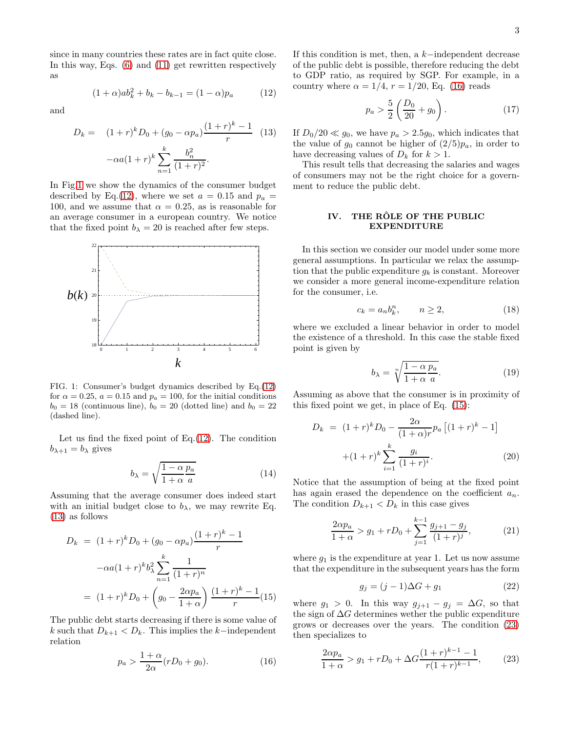since in many countries these rates are in fact quite close. In this way, Eqs. [\(6\)](#page-1-5) and [\(11\)](#page-1-6) get rewritten respectively as

and

<span id="page-2-2"></span>
$$
D_k = (1+r)^k D_0 + (g_0 - \alpha p_a) \frac{(1+r)^k - 1}{r}
$$
 (13)  

$$
-\alpha a (1+r)^k \sum_{n=1}^k \frac{b_n^2}{(1+r)^2}.
$$

<span id="page-2-1"></span> $(1+\alpha)ab_k^2 + b_k - b_{k-1} = (1-\alpha)p_a$  (12)

In Fig[.1](#page-2-0) we show the dynamics of the consumer budget described by Eq.[\(12\)](#page-2-1), where we set  $a = 0.15$  and  $p_a =$ 100, and we assume that  $\alpha = 0.25$ , as is reasonable for an average consumer in a european country. We notice that the fixed point  $b_{\lambda} = 20$  is reached after few steps.



<span id="page-2-0"></span>FIG. 1: Consumer's budget dynamics described by Eq.[\(12\)](#page-2-1) for  $\alpha = 0.25$ ,  $a = 0.15$  and  $p_a = 100$ , for the initial conditions  $b_0 = 18$  (continuous line),  $b_0 = 20$  (dotted line) and  $b_0 = 22$ (dashed line).

Let us find the fixed point of Eq. $(12)$ . The condition  $b_{\lambda+1} = b_{\lambda}$  gives

$$
b_{\lambda} = \sqrt{\frac{1 - \alpha p_a}{1 + \alpha a}} \tag{14}
$$

Assuming that the average consumer does indeed start with an initial budget close to  $b_{\lambda}$ , we may rewrite Eq. [\(13\)](#page-2-2) as follows

<span id="page-2-4"></span>
$$
D_k = (1+r)^k D_0 + (g_0 - \alpha p_a) \frac{(1+r)^k - 1}{r}
$$

$$
-\alpha a (1+r)^k b_\lambda^2 \sum_{n=1}^k \frac{1}{(1+r)^n}
$$

$$
= (1+r)^k D_0 + \left(g_0 - \frac{2\alpha p_a}{1+\alpha}\right) \frac{(1+r)^k - 1}{r} (15)
$$

The public debt starts decreasing if there is some value of k such that  $D_{k+1} < D_k$ . This implies the k-independent relation

<span id="page-2-3"></span>
$$
p_a > \frac{1+\alpha}{2\alpha}(rD_0 + g_0). \tag{16}
$$

If this condition is met, then, a k−independent decrease of the public debt is possible, therefore reducing the debt to GDP ratio, as required by SGP. For example, in a country where  $\alpha = 1/4$ ,  $r = 1/20$ , Eq. [\(16\)](#page-2-3) reads

$$
p_a > \frac{5}{2} \left( \frac{D_0}{20} + g_0 \right). \tag{17}
$$

If  $D_0/20 \ll q_0$ , we have  $p_a > 2.5q_0$ , which indicates that the value of  $g_0$  cannot be higher of  $(2/5)p_a$ , in order to have decreasing values of  $D_k$  for  $k > 1$ .

This result tells that decreasing the salaries and wages of consumers may not be the right choice for a government to reduce the public debt.

## IV. THE RÔLE OF THE PUBLIC EXPENDITURE

In this section we consider our model under some more general assumptions. In particular we relax the assumption that the public expenditure  $g_k$  is constant. Moreover we consider a more general income-expenditure relation for the consumer, i.e.

$$
c_k = a_n b_k^n, \qquad n \ge 2,
$$
\n<sup>(18)</sup>

where we excluded a linear behavior in order to model the existence of a threshold. In this case the stable fixed point is given by

$$
b_{\lambda} = \sqrt[n]{\frac{1 - \alpha p_a}{1 + \alpha a}}.\tag{19}
$$

Assuming as above that the consumer is in proximity of this fixed point we get, in place of Eq. [\(15\)](#page-2-4):

$$
D_k = (1+r)^k D_0 - \frac{2\alpha}{(1+\alpha)r} p_a \left[ (1+r)^k - 1 \right] + (1+r)^k \sum_{i=1}^k \frac{g_i}{(1+r)^i}.
$$
 (20)

Notice that the assumption of being at the fixed point has again erased the dependence on the coefficient  $a_n$ . The condition  $D_{k+1} < D_k$  in this case gives

$$
\frac{2\alpha p_a}{1+\alpha} > g_1 + rD_0 + \sum_{j=1}^{k-1} \frac{g_{j+1} - g_j}{(1+r)^j},
$$
 (21)

where  $g_1$  is the expenditure at year 1. Let us now assume that the expenditure in the subsequent years has the form

$$
g_j = (j-1)\Delta G + g_1 \tag{22}
$$

where  $g_1 > 0$ . In this way  $g_{j+1} - g_j = \Delta G$ , so that the sign of  $\Delta G$  determines wether the public expenditure grows or decreases over the years. The condition [\(23\)](#page-2-5) then specializes to

<span id="page-2-5"></span>
$$
\frac{2\alpha p_a}{1+\alpha} > g_1 + rD_0 + \Delta G \frac{(1+r)^{k-1} - 1}{r(1+r)^{k-1}},
$$
 (23)